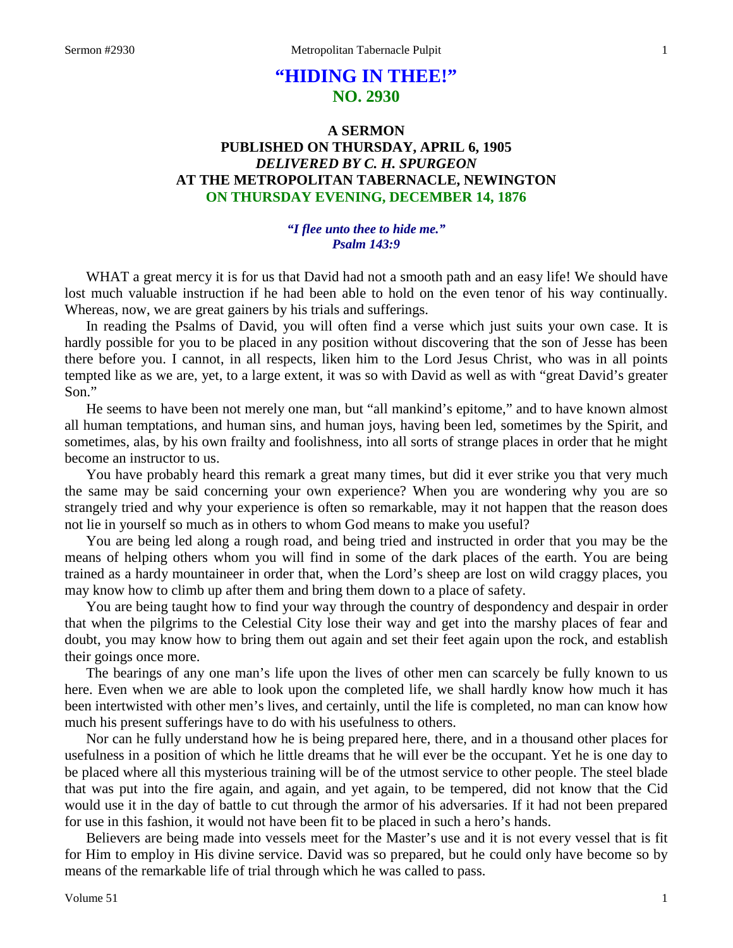# **"HIDING IN THEE!" NO. 2930**

## **A SERMON PUBLISHED ON THURSDAY, APRIL 6, 1905** *DELIVERED BY C. H. SPURGEON* **AT THE METROPOLITAN TABERNACLE, NEWINGTON ON THURSDAY EVENING, DECEMBER 14, 1876**

#### *"I flee unto thee to hide me." Psalm 143:9*

WHAT a great mercy it is for us that David had not a smooth path and an easy life! We should have lost much valuable instruction if he had been able to hold on the even tenor of his way continually. Whereas, now, we are great gainers by his trials and sufferings.

In reading the Psalms of David, you will often find a verse which just suits your own case. It is hardly possible for you to be placed in any position without discovering that the son of Jesse has been there before you. I cannot, in all respects, liken him to the Lord Jesus Christ, who was in all points tempted like as we are, yet, to a large extent, it was so with David as well as with "great David's greater Son."

He seems to have been not merely one man, but "all mankind's epitome," and to have known almost all human temptations, and human sins, and human joys, having been led, sometimes by the Spirit, and sometimes, alas, by his own frailty and foolishness, into all sorts of strange places in order that he might become an instructor to us.

You have probably heard this remark a great many times, but did it ever strike you that very much the same may be said concerning your own experience? When you are wondering why you are so strangely tried and why your experience is often so remarkable, may it not happen that the reason does not lie in yourself so much as in others to whom God means to make you useful?

You are being led along a rough road, and being tried and instructed in order that you may be the means of helping others whom you will find in some of the dark places of the earth. You are being trained as a hardy mountaineer in order that, when the Lord's sheep are lost on wild craggy places, you may know how to climb up after them and bring them down to a place of safety.

You are being taught how to find your way through the country of despondency and despair in order that when the pilgrims to the Celestial City lose their way and get into the marshy places of fear and doubt, you may know how to bring them out again and set their feet again upon the rock, and establish their goings once more.

The bearings of any one man's life upon the lives of other men can scarcely be fully known to us here. Even when we are able to look upon the completed life, we shall hardly know how much it has been intertwisted with other men's lives, and certainly, until the life is completed, no man can know how much his present sufferings have to do with his usefulness to others.

Nor can he fully understand how he is being prepared here, there, and in a thousand other places for usefulness in a position of which he little dreams that he will ever be the occupant. Yet he is one day to be placed where all this mysterious training will be of the utmost service to other people. The steel blade that was put into the fire again, and again, and yet again, to be tempered, did not know that the Cid would use it in the day of battle to cut through the armor of his adversaries. If it had not been prepared for use in this fashion, it would not have been fit to be placed in such a hero's hands.

Believers are being made into vessels meet for the Master's use and it is not every vessel that is fit for Him to employ in His divine service. David was so prepared, but he could only have become so by means of the remarkable life of trial through which he was called to pass.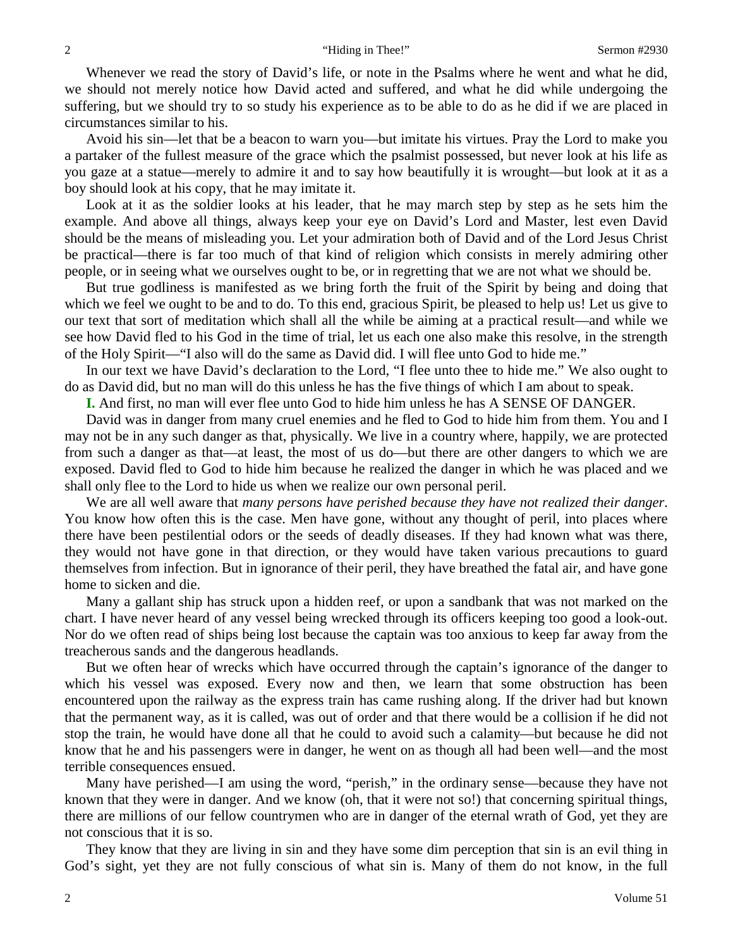Whenever we read the story of David's life, or note in the Psalms where he went and what he did, we should not merely notice how David acted and suffered, and what he did while undergoing the suffering, but we should try to so study his experience as to be able to do as he did if we are placed in circumstances similar to his.

Avoid his sin—let that be a beacon to warn you—but imitate his virtues. Pray the Lord to make you a partaker of the fullest measure of the grace which the psalmist possessed, but never look at his life as you gaze at a statue—merely to admire it and to say how beautifully it is wrought—but look at it as a boy should look at his copy, that he may imitate it.

Look at it as the soldier looks at his leader, that he may march step by step as he sets him the example. And above all things, always keep your eye on David's Lord and Master, lest even David should be the means of misleading you. Let your admiration both of David and of the Lord Jesus Christ be practical—there is far too much of that kind of religion which consists in merely admiring other people, or in seeing what we ourselves ought to be, or in regretting that we are not what we should be.

But true godliness is manifested as we bring forth the fruit of the Spirit by being and doing that which we feel we ought to be and to do. To this end, gracious Spirit, be pleased to help us! Let us give to our text that sort of meditation which shall all the while be aiming at a practical result—and while we see how David fled to his God in the time of trial, let us each one also make this resolve, in the strength of the Holy Spirit—"I also will do the same as David did. I will flee unto God to hide me."

In our text we have David's declaration to the Lord, "I flee unto thee to hide me." We also ought to do as David did, but no man will do this unless he has the five things of which I am about to speak.

**I.** And first, no man will ever flee unto God to hide him unless he has A SENSE OF DANGER.

David was in danger from many cruel enemies and he fled to God to hide him from them. You and I may not be in any such danger as that, physically. We live in a country where, happily, we are protected from such a danger as that—at least, the most of us do—but there are other dangers to which we are exposed. David fled to God to hide him because he realized the danger in which he was placed and we shall only flee to the Lord to hide us when we realize our own personal peril.

We are all well aware that *many persons have perished because they have not realized their danger*. You know how often this is the case. Men have gone, without any thought of peril, into places where there have been pestilential odors or the seeds of deadly diseases. If they had known what was there, they would not have gone in that direction, or they would have taken various precautions to guard themselves from infection. But in ignorance of their peril, they have breathed the fatal air, and have gone home to sicken and die.

Many a gallant ship has struck upon a hidden reef, or upon a sandbank that was not marked on the chart. I have never heard of any vessel being wrecked through its officers keeping too good a look-out. Nor do we often read of ships being lost because the captain was too anxious to keep far away from the treacherous sands and the dangerous headlands.

But we often hear of wrecks which have occurred through the captain's ignorance of the danger to which his vessel was exposed. Every now and then, we learn that some obstruction has been encountered upon the railway as the express train has came rushing along. If the driver had but known that the permanent way, as it is called, was out of order and that there would be a collision if he did not stop the train, he would have done all that he could to avoid such a calamity—but because he did not know that he and his passengers were in danger, he went on as though all had been well—and the most terrible consequences ensued.

Many have perished—I am using the word, "perish," in the ordinary sense—because they have not known that they were in danger. And we know (oh, that it were not so!) that concerning spiritual things, there are millions of our fellow countrymen who are in danger of the eternal wrath of God, yet they are not conscious that it is so.

They know that they are living in sin and they have some dim perception that sin is an evil thing in God's sight, yet they are not fully conscious of what sin is. Many of them do not know, in the full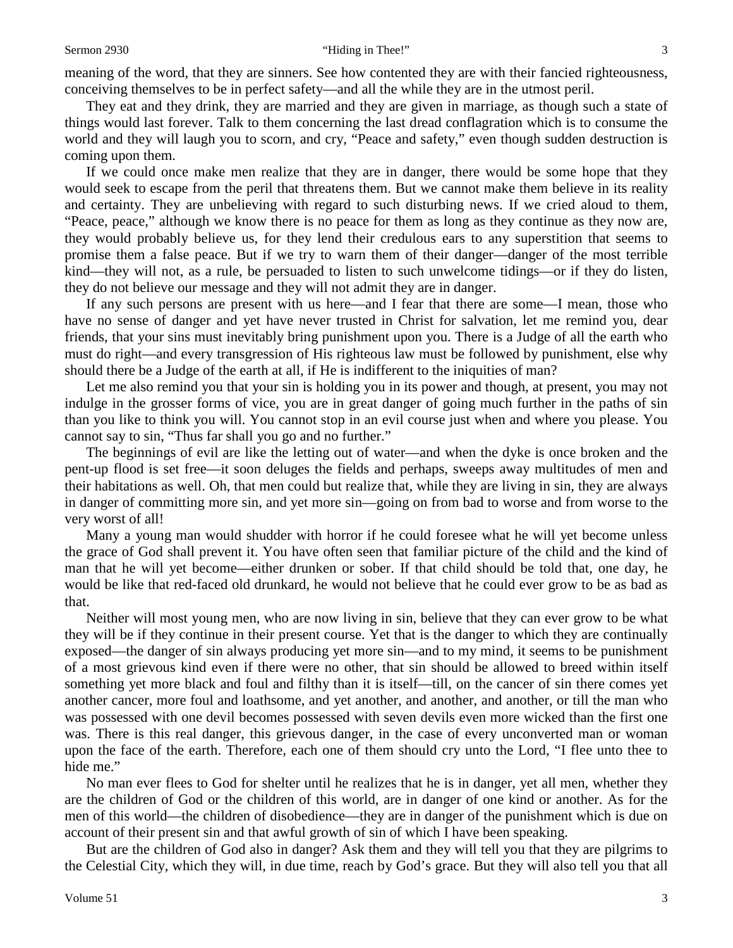meaning of the word, that they are sinners. See how contented they are with their fancied righteousness, conceiving themselves to be in perfect safety—and all the while they are in the utmost peril.

They eat and they drink, they are married and they are given in marriage, as though such a state of things would last forever. Talk to them concerning the last dread conflagration which is to consume the world and they will laugh you to scorn, and cry, "Peace and safety," even though sudden destruction is coming upon them.

If we could once make men realize that they are in danger, there would be some hope that they would seek to escape from the peril that threatens them. But we cannot make them believe in its reality and certainty. They are unbelieving with regard to such disturbing news. If we cried aloud to them, "Peace, peace," although we know there is no peace for them as long as they continue as they now are, they would probably believe us, for they lend their credulous ears to any superstition that seems to promise them a false peace. But if we try to warn them of their danger—danger of the most terrible kind—they will not, as a rule, be persuaded to listen to such unwelcome tidings—or if they do listen, they do not believe our message and they will not admit they are in danger.

If any such persons are present with us here—and I fear that there are some—I mean, those who have no sense of danger and yet have never trusted in Christ for salvation, let me remind you, dear friends, that your sins must inevitably bring punishment upon you. There is a Judge of all the earth who must do right—and every transgression of His righteous law must be followed by punishment, else why should there be a Judge of the earth at all, if He is indifferent to the iniquities of man?

Let me also remind you that your sin is holding you in its power and though, at present, you may not indulge in the grosser forms of vice, you are in great danger of going much further in the paths of sin than you like to think you will. You cannot stop in an evil course just when and where you please. You cannot say to sin, "Thus far shall you go and no further."

The beginnings of evil are like the letting out of water—and when the dyke is once broken and the pent-up flood is set free—it soon deluges the fields and perhaps, sweeps away multitudes of men and their habitations as well. Oh, that men could but realize that, while they are living in sin, they are always in danger of committing more sin, and yet more sin—going on from bad to worse and from worse to the very worst of all!

Many a young man would shudder with horror if he could foresee what he will yet become unless the grace of God shall prevent it. You have often seen that familiar picture of the child and the kind of man that he will yet become—either drunken or sober. If that child should be told that, one day, he would be like that red-faced old drunkard, he would not believe that he could ever grow to be as bad as that.

Neither will most young men, who are now living in sin, believe that they can ever grow to be what they will be if they continue in their present course. Yet that is the danger to which they are continually exposed—the danger of sin always producing yet more sin—and to my mind, it seems to be punishment of a most grievous kind even if there were no other, that sin should be allowed to breed within itself something yet more black and foul and filthy than it is itself—till, on the cancer of sin there comes yet another cancer, more foul and loathsome, and yet another, and another, and another, or till the man who was possessed with one devil becomes possessed with seven devils even more wicked than the first one was. There is this real danger, this grievous danger, in the case of every unconverted man or woman upon the face of the earth. Therefore, each one of them should cry unto the Lord, "I flee unto thee to hide me."

No man ever flees to God for shelter until he realizes that he is in danger, yet all men, whether they are the children of God or the children of this world, are in danger of one kind or another. As for the men of this world—the children of disobedience—they are in danger of the punishment which is due on account of their present sin and that awful growth of sin of which I have been speaking.

But are the children of God also in danger? Ask them and they will tell you that they are pilgrims to the Celestial City, which they will, in due time, reach by God's grace. But they will also tell you that all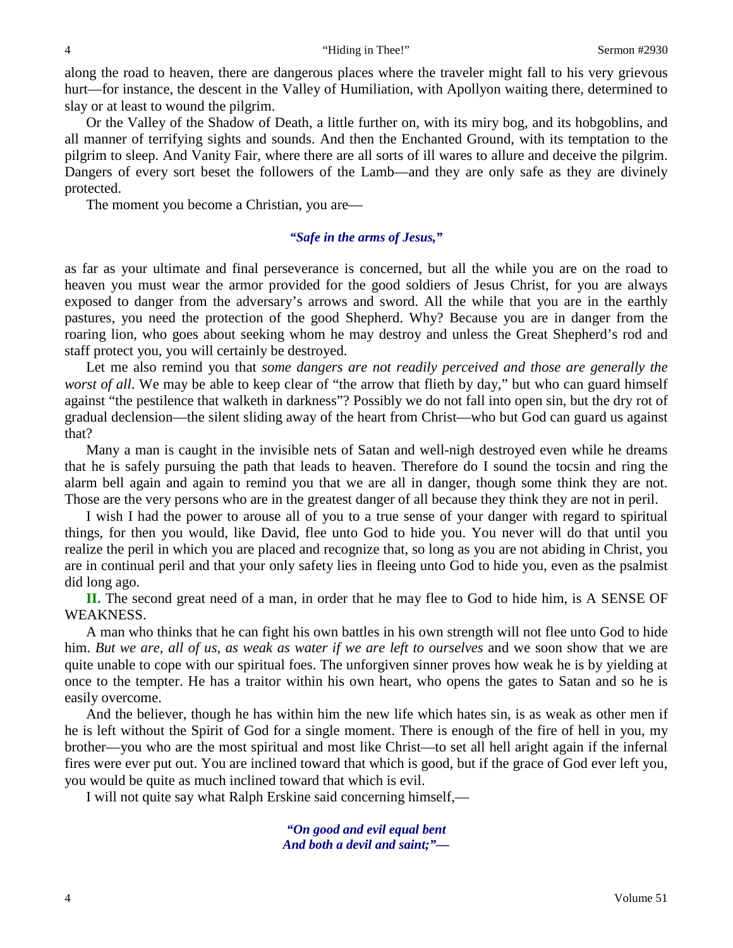along the road to heaven, there are dangerous places where the traveler might fall to his very grievous hurt—for instance, the descent in the Valley of Humiliation, with Apollyon waiting there, determined to slay or at least to wound the pilgrim.

Or the Valley of the Shadow of Death, a little further on, with its miry bog, and its hobgoblins, and all manner of terrifying sights and sounds. And then the Enchanted Ground, with its temptation to the pilgrim to sleep. And Vanity Fair, where there are all sorts of ill wares to allure and deceive the pilgrim. Dangers of every sort beset the followers of the Lamb—and they are only safe as they are divinely protected.

The moment you become a Christian, you are—

#### *"Safe in the arms of Jesus,"*

as far as your ultimate and final perseverance is concerned, but all the while you are on the road to heaven you must wear the armor provided for the good soldiers of Jesus Christ, for you are always exposed to danger from the adversary's arrows and sword. All the while that you are in the earthly pastures, you need the protection of the good Shepherd. Why? Because you are in danger from the roaring lion, who goes about seeking whom he may destroy and unless the Great Shepherd's rod and staff protect you, you will certainly be destroyed.

Let me also remind you that *some dangers are not readily perceived and those are generally the worst of all*. We may be able to keep clear of "the arrow that flieth by day," but who can guard himself against "the pestilence that walketh in darkness"? Possibly we do not fall into open sin, but the dry rot of gradual declension—the silent sliding away of the heart from Christ—who but God can guard us against that?

Many a man is caught in the invisible nets of Satan and well-nigh destroyed even while he dreams that he is safely pursuing the path that leads to heaven. Therefore do I sound the tocsin and ring the alarm bell again and again to remind you that we are all in danger, though some think they are not. Those are the very persons who are in the greatest danger of all because they think they are not in peril.

I wish I had the power to arouse all of you to a true sense of your danger with regard to spiritual things, for then you would, like David, flee unto God to hide you. You never will do that until you realize the peril in which you are placed and recognize that, so long as you are not abiding in Christ, you are in continual peril and that your only safety lies in fleeing unto God to hide you, even as the psalmist did long ago.

**II.** The second great need of a man, in order that he may flee to God to hide him, is A SENSE OF WEAKNESS.

A man who thinks that he can fight his own battles in his own strength will not flee unto God to hide him. *But we are, all of us, as weak as water if we are left to ourselves* and we soon show that we are quite unable to cope with our spiritual foes. The unforgiven sinner proves how weak he is by yielding at once to the tempter. He has a traitor within his own heart, who opens the gates to Satan and so he is easily overcome.

And the believer, though he has within him the new life which hates sin, is as weak as other men if he is left without the Spirit of God for a single moment. There is enough of the fire of hell in you, my brother—you who are the most spiritual and most like Christ—to set all hell aright again if the infernal fires were ever put out. You are inclined toward that which is good, but if the grace of God ever left you, you would be quite as much inclined toward that which is evil.

I will not quite say what Ralph Erskine said concerning himself,—

*"On good and evil equal bent And both a devil and saint;"—*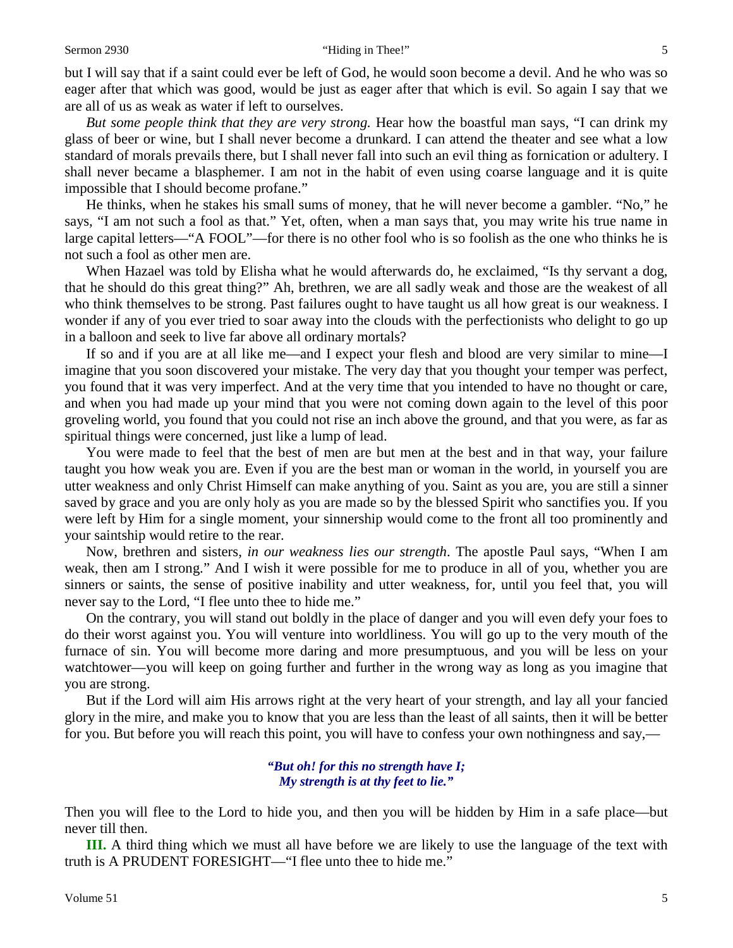but I will say that if a saint could ever be left of God, he would soon become a devil. And he who was so eager after that which was good, would be just as eager after that which is evil. So again I say that we are all of us as weak as water if left to ourselves.

*But some people think that they are very strong.* Hear how the boastful man says, "I can drink my glass of beer or wine, but I shall never become a drunkard. I can attend the theater and see what a low standard of morals prevails there, but I shall never fall into such an evil thing as fornication or adultery. I shall never became a blasphemer. I am not in the habit of even using coarse language and it is quite impossible that I should become profane."

He thinks, when he stakes his small sums of money, that he will never become a gambler. "No," he says, "I am not such a fool as that." Yet, often, when a man says that, you may write his true name in large capital letters—"A FOOL"—for there is no other fool who is so foolish as the one who thinks he is not such a fool as other men are.

When Hazael was told by Elisha what he would afterwards do, he exclaimed, "Is thy servant a dog, that he should do this great thing?" Ah, brethren, we are all sadly weak and those are the weakest of all who think themselves to be strong. Past failures ought to have taught us all how great is our weakness. I wonder if any of you ever tried to soar away into the clouds with the perfectionists who delight to go up in a balloon and seek to live far above all ordinary mortals?

If so and if you are at all like me—and I expect your flesh and blood are very similar to mine—I imagine that you soon discovered your mistake. The very day that you thought your temper was perfect, you found that it was very imperfect. And at the very time that you intended to have no thought or care, and when you had made up your mind that you were not coming down again to the level of this poor groveling world, you found that you could not rise an inch above the ground, and that you were, as far as spiritual things were concerned, just like a lump of lead.

You were made to feel that the best of men are but men at the best and in that way, your failure taught you how weak you are. Even if you are the best man or woman in the world, in yourself you are utter weakness and only Christ Himself can make anything of you. Saint as you are, you are still a sinner saved by grace and you are only holy as you are made so by the blessed Spirit who sanctifies you. If you were left by Him for a single moment, your sinnership would come to the front all too prominently and your saintship would retire to the rear.

Now, brethren and sisters, *in our weakness lies our strength*. The apostle Paul says, "When I am weak, then am I strong." And I wish it were possible for me to produce in all of you, whether you are sinners or saints, the sense of positive inability and utter weakness, for, until you feel that, you will never say to the Lord, "I flee unto thee to hide me."

On the contrary, you will stand out boldly in the place of danger and you will even defy your foes to do their worst against you. You will venture into worldliness. You will go up to the very mouth of the furnace of sin. You will become more daring and more presumptuous, and you will be less on your watchtower—you will keep on going further and further in the wrong way as long as you imagine that you are strong.

But if the Lord will aim His arrows right at the very heart of your strength, and lay all your fancied glory in the mire, and make you to know that you are less than the least of all saints, then it will be better for you. But before you will reach this point, you will have to confess your own nothingness and say,—

#### *"But oh! for this no strength have I; My strength is at thy feet to lie."*

Then you will flee to the Lord to hide you, and then you will be hidden by Him in a safe place—but never till then.

**III.** A third thing which we must all have before we are likely to use the language of the text with truth is A PRUDENT FORESIGHT—"I flee unto thee to hide me."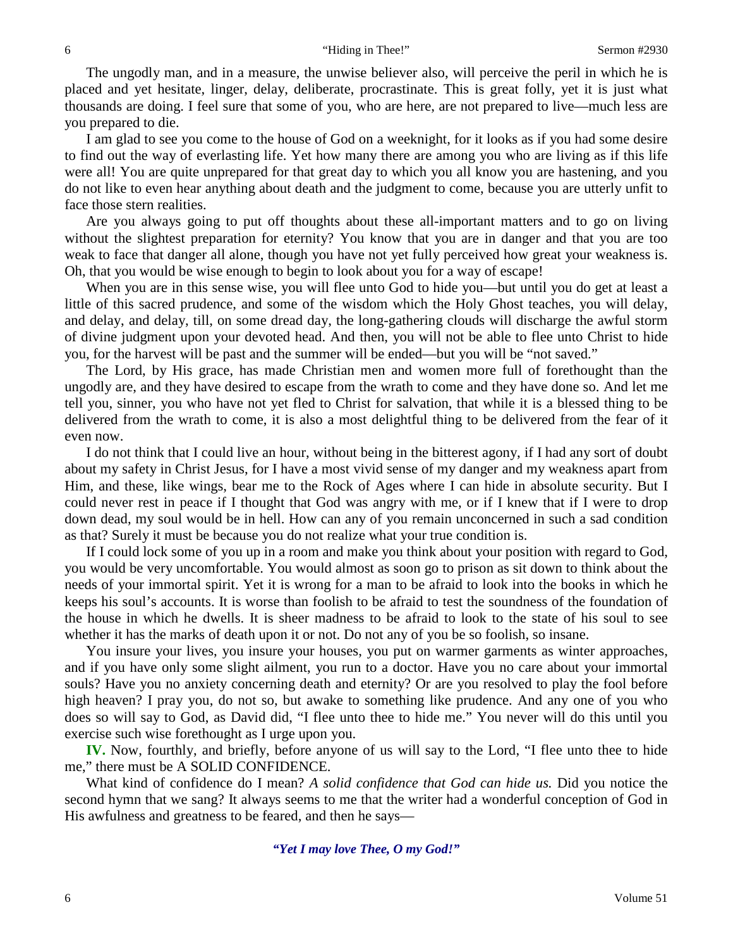The ungodly man, and in a measure, the unwise believer also, will perceive the peril in which he is placed and yet hesitate, linger, delay, deliberate, procrastinate. This is great folly, yet it is just what thousands are doing. I feel sure that some of you, who are here, are not prepared to live—much less are you prepared to die.

I am glad to see you come to the house of God on a weeknight, for it looks as if you had some desire to find out the way of everlasting life. Yet how many there are among you who are living as if this life were all! You are quite unprepared for that great day to which you all know you are hastening, and you do not like to even hear anything about death and the judgment to come, because you are utterly unfit to face those stern realities.

Are you always going to put off thoughts about these all-important matters and to go on living without the slightest preparation for eternity? You know that you are in danger and that you are too weak to face that danger all alone, though you have not yet fully perceived how great your weakness is. Oh, that you would be wise enough to begin to look about you for a way of escape!

When you are in this sense wise, you will flee unto God to hide you—but until you do get at least a little of this sacred prudence, and some of the wisdom which the Holy Ghost teaches, you will delay, and delay, and delay, till, on some dread day, the long-gathering clouds will discharge the awful storm of divine judgment upon your devoted head. And then, you will not be able to flee unto Christ to hide you, for the harvest will be past and the summer will be ended—but you will be "not saved."

The Lord, by His grace, has made Christian men and women more full of forethought than the ungodly are, and they have desired to escape from the wrath to come and they have done so. And let me tell you, sinner, you who have not yet fled to Christ for salvation, that while it is a blessed thing to be delivered from the wrath to come, it is also a most delightful thing to be delivered from the fear of it even now.

I do not think that I could live an hour, without being in the bitterest agony, if I had any sort of doubt about my safety in Christ Jesus, for I have a most vivid sense of my danger and my weakness apart from Him, and these, like wings, bear me to the Rock of Ages where I can hide in absolute security. But I could never rest in peace if I thought that God was angry with me, or if I knew that if I were to drop down dead, my soul would be in hell. How can any of you remain unconcerned in such a sad condition as that? Surely it must be because you do not realize what your true condition is.

If I could lock some of you up in a room and make you think about your position with regard to God, you would be very uncomfortable. You would almost as soon go to prison as sit down to think about the needs of your immortal spirit. Yet it is wrong for a man to be afraid to look into the books in which he keeps his soul's accounts. It is worse than foolish to be afraid to test the soundness of the foundation of the house in which he dwells. It is sheer madness to be afraid to look to the state of his soul to see whether it has the marks of death upon it or not. Do not any of you be so foolish, so insane.

You insure your lives, you insure your houses, you put on warmer garments as winter approaches, and if you have only some slight ailment, you run to a doctor. Have you no care about your immortal souls? Have you no anxiety concerning death and eternity? Or are you resolved to play the fool before high heaven? I pray you, do not so, but awake to something like prudence. And any one of you who does so will say to God, as David did, "I flee unto thee to hide me." You never will do this until you exercise such wise forethought as I urge upon you.

**IV.** Now, fourthly, and briefly, before anyone of us will say to the Lord, "I flee unto thee to hide me," there must be A SOLID CONFIDENCE.

What kind of confidence do I mean? *A solid confidence that God can hide us.* Did you notice the second hymn that we sang? It always seems to me that the writer had a wonderful conception of God in His awfulness and greatness to be feared, and then he says—

*"Yet I may love Thee, O my God!"*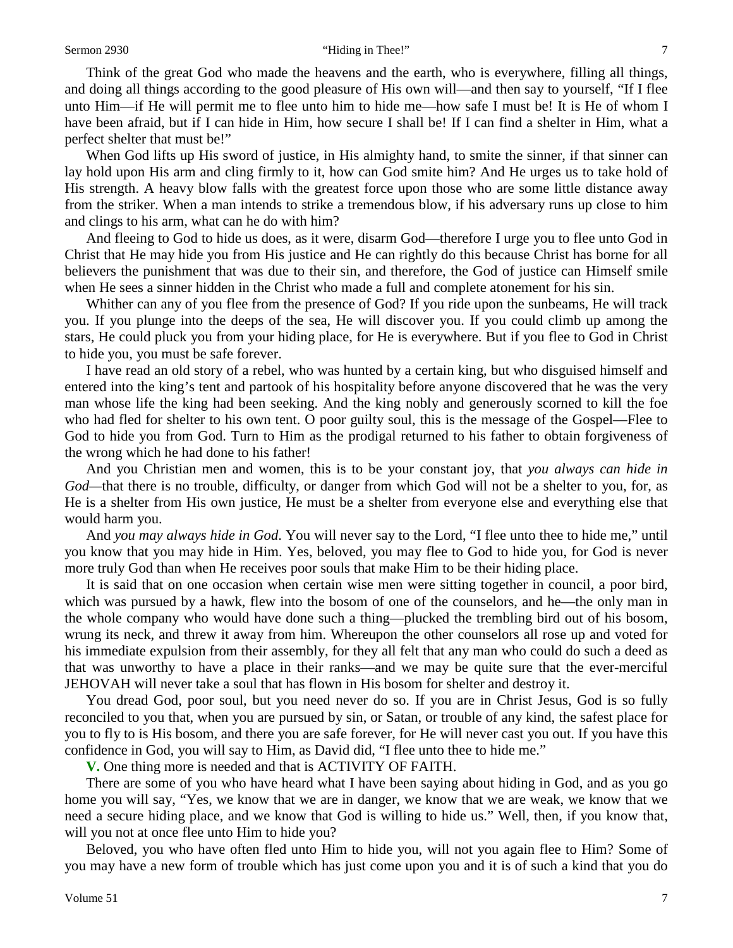Think of the great God who made the heavens and the earth, who is everywhere, filling all things, and doing all things according to the good pleasure of His own will—and then say to yourself, "If I flee unto Him—if He will permit me to flee unto him to hide me—how safe I must be! It is He of whom I have been afraid, but if I can hide in Him, how secure I shall be! If I can find a shelter in Him, what a perfect shelter that must be!"

When God lifts up His sword of justice, in His almighty hand, to smite the sinner, if that sinner can lay hold upon His arm and cling firmly to it, how can God smite him? And He urges us to take hold of His strength. A heavy blow falls with the greatest force upon those who are some little distance away from the striker. When a man intends to strike a tremendous blow, if his adversary runs up close to him and clings to his arm, what can he do with him?

And fleeing to God to hide us does, as it were, disarm God—therefore I urge you to flee unto God in Christ that He may hide you from His justice and He can rightly do this because Christ has borne for all believers the punishment that was due to their sin, and therefore, the God of justice can Himself smile when He sees a sinner hidden in the Christ who made a full and complete atonement for his sin.

Whither can any of you flee from the presence of God? If you ride upon the sunbeams, He will track you. If you plunge into the deeps of the sea, He will discover you. If you could climb up among the stars, He could pluck you from your hiding place, for He is everywhere. But if you flee to God in Christ to hide you, you must be safe forever.

I have read an old story of a rebel, who was hunted by a certain king, but who disguised himself and entered into the king's tent and partook of his hospitality before anyone discovered that he was the very man whose life the king had been seeking. And the king nobly and generously scorned to kill the foe who had fled for shelter to his own tent. O poor guilty soul, this is the message of the Gospel—Flee to God to hide you from God. Turn to Him as the prodigal returned to his father to obtain forgiveness of the wrong which he had done to his father!

And you Christian men and women, this is to be your constant joy, that *you always can hide in God—*that there is no trouble, difficulty, or danger from which God will not be a shelter to you, for, as He is a shelter from His own justice, He must be a shelter from everyone else and everything else that would harm you.

And *you may always hide in God*. You will never say to the Lord, "I flee unto thee to hide me," until you know that you may hide in Him. Yes, beloved, you may flee to God to hide you, for God is never more truly God than when He receives poor souls that make Him to be their hiding place.

It is said that on one occasion when certain wise men were sitting together in council, a poor bird, which was pursued by a hawk, flew into the bosom of one of the counselors, and he—the only man in the whole company who would have done such a thing—plucked the trembling bird out of his bosom, wrung its neck, and threw it away from him. Whereupon the other counselors all rose up and voted for his immediate expulsion from their assembly, for they all felt that any man who could do such a deed as that was unworthy to have a place in their ranks—and we may be quite sure that the ever-merciful JEHOVAH will never take a soul that has flown in His bosom for shelter and destroy it.

You dread God, poor soul, but you need never do so. If you are in Christ Jesus, God is so fully reconciled to you that, when you are pursued by sin, or Satan, or trouble of any kind, the safest place for you to fly to is His bosom, and there you are safe forever, for He will never cast you out. If you have this confidence in God, you will say to Him, as David did, "I flee unto thee to hide me."

**V.** One thing more is needed and that is ACTIVITY OF FAITH.

There are some of you who have heard what I have been saying about hiding in God, and as you go home you will say, "Yes, we know that we are in danger, we know that we are weak, we know that we need a secure hiding place, and we know that God is willing to hide us." Well, then, if you know that, will you not at once flee unto Him to hide you?

Beloved, you who have often fled unto Him to hide you, will not you again flee to Him? Some of you may have a new form of trouble which has just come upon you and it is of such a kind that you do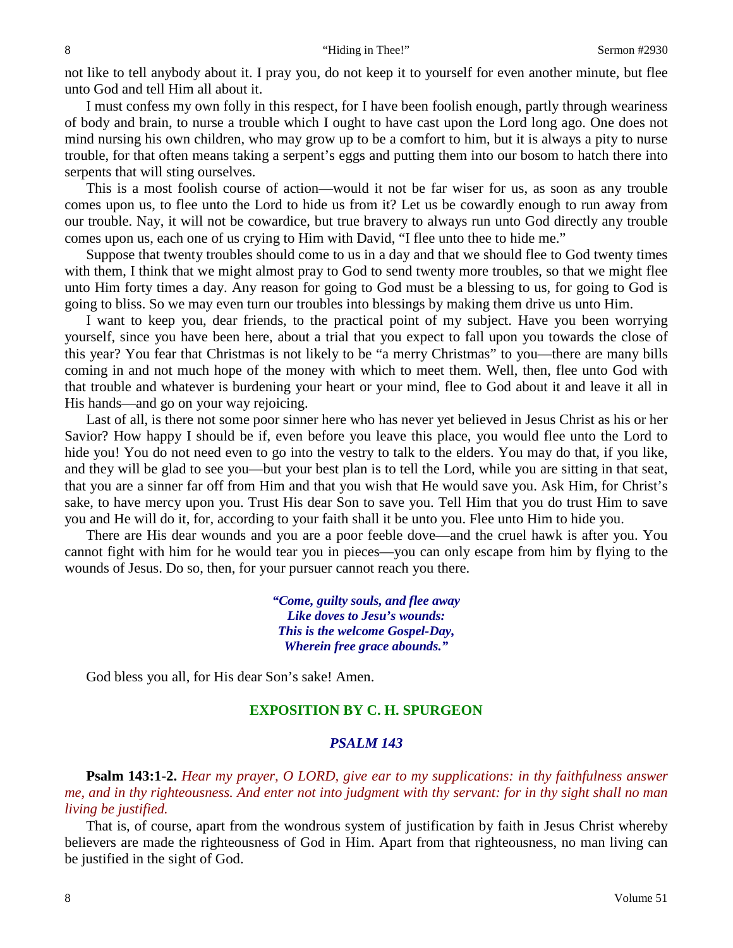not like to tell anybody about it. I pray you, do not keep it to yourself for even another minute, but flee unto God and tell Him all about it.

I must confess my own folly in this respect, for I have been foolish enough, partly through weariness of body and brain, to nurse a trouble which I ought to have cast upon the Lord long ago. One does not mind nursing his own children, who may grow up to be a comfort to him, but it is always a pity to nurse trouble, for that often means taking a serpent's eggs and putting them into our bosom to hatch there into serpents that will sting ourselves.

This is a most foolish course of action—would it not be far wiser for us, as soon as any trouble comes upon us, to flee unto the Lord to hide us from it? Let us be cowardly enough to run away from our trouble. Nay, it will not be cowardice, but true bravery to always run unto God directly any trouble comes upon us, each one of us crying to Him with David, "I flee unto thee to hide me."

Suppose that twenty troubles should come to us in a day and that we should flee to God twenty times with them, I think that we might almost pray to God to send twenty more troubles, so that we might flee unto Him forty times a day. Any reason for going to God must be a blessing to us, for going to God is going to bliss. So we may even turn our troubles into blessings by making them drive us unto Him.

I want to keep you, dear friends, to the practical point of my subject. Have you been worrying yourself, since you have been here, about a trial that you expect to fall upon you towards the close of this year? You fear that Christmas is not likely to be "a merry Christmas" to you—there are many bills coming in and not much hope of the money with which to meet them. Well, then, flee unto God with that trouble and whatever is burdening your heart or your mind, flee to God about it and leave it all in His hands—and go on your way rejoicing.

Last of all, is there not some poor sinner here who has never yet believed in Jesus Christ as his or her Savior? How happy I should be if, even before you leave this place, you would flee unto the Lord to hide you! You do not need even to go into the vestry to talk to the elders. You may do that, if you like, and they will be glad to see you—but your best plan is to tell the Lord, while you are sitting in that seat, that you are a sinner far off from Him and that you wish that He would save you. Ask Him, for Christ's sake, to have mercy upon you. Trust His dear Son to save you. Tell Him that you do trust Him to save you and He will do it, for, according to your faith shall it be unto you. Flee unto Him to hide you.

There are His dear wounds and you are a poor feeble dove—and the cruel hawk is after you. You cannot fight with him for he would tear you in pieces—you can only escape from him by flying to the wounds of Jesus. Do so, then, for your pursuer cannot reach you there.

> *"Come, guilty souls, and flee away Like doves to Jesu's wounds: This is the welcome Gospel-Day, Wherein free grace abounds."*

God bless you all, for His dear Son's sake! Amen.

### **EXPOSITION BY C. H. SPURGEON**

#### *PSALM 143*

**Psalm 143:1-2.** *Hear my prayer, O LORD, give ear to my supplications: in thy faithfulness answer me, and in thy righteousness. And enter not into judgment with thy servant: for in thy sight shall no man living be justified.*

That is, of course, apart from the wondrous system of justification by faith in Jesus Christ whereby believers are made the righteousness of God in Him. Apart from that righteousness, no man living can be justified in the sight of God.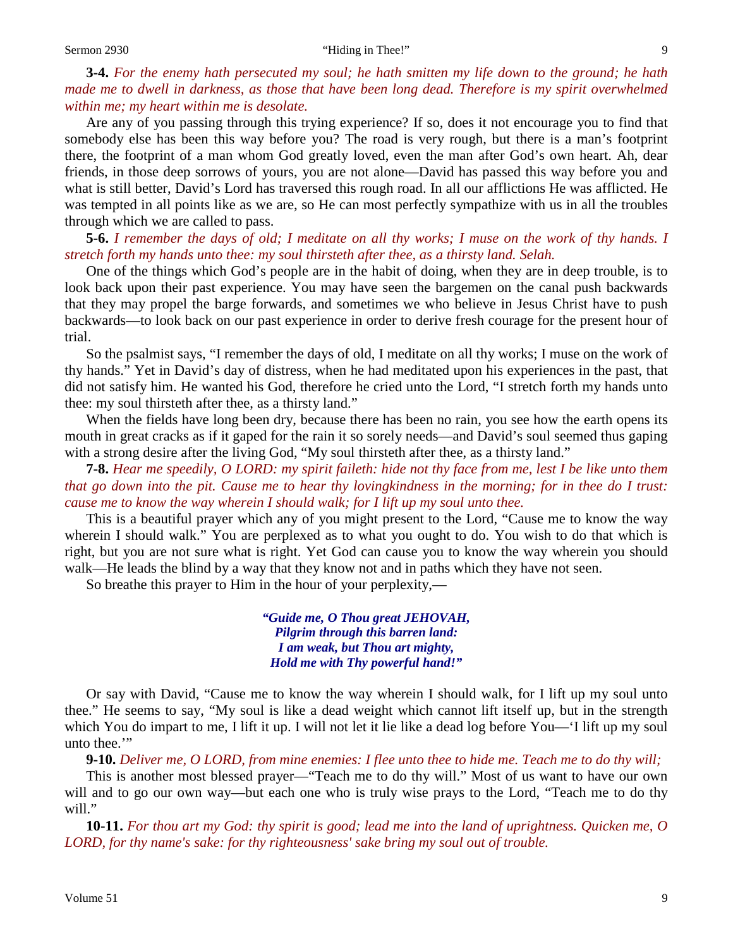#### Sermon 2930 "Hiding in Thee!" 9

**3-4.** *For the enemy hath persecuted my soul; he hath smitten my life down to the ground; he hath made me to dwell in darkness, as those that have been long dead. Therefore is my spirit overwhelmed within me; my heart within me is desolate.*

Are any of you passing through this trying experience? If so, does it not encourage you to find that somebody else has been this way before you? The road is very rough, but there is a man's footprint there, the footprint of a man whom God greatly loved, even the man after God's own heart. Ah, dear friends, in those deep sorrows of yours, you are not alone—David has passed this way before you and what is still better, David's Lord has traversed this rough road. In all our afflictions He was afflicted. He was tempted in all points like as we are, so He can most perfectly sympathize with us in all the troubles through which we are called to pass.

**5-6.** *I remember the days of old; I meditate on all thy works; I muse on the work of thy hands. I stretch forth my hands unto thee: my soul thirsteth after thee, as a thirsty land. Selah.*

One of the things which God's people are in the habit of doing, when they are in deep trouble, is to look back upon their past experience. You may have seen the bargemen on the canal push backwards that they may propel the barge forwards, and sometimes we who believe in Jesus Christ have to push backwards—to look back on our past experience in order to derive fresh courage for the present hour of trial.

So the psalmist says, "I remember the days of old, I meditate on all thy works; I muse on the work of thy hands." Yet in David's day of distress, when he had meditated upon his experiences in the past, that did not satisfy him. He wanted his God, therefore he cried unto the Lord, "I stretch forth my hands unto thee: my soul thirsteth after thee, as a thirsty land."

When the fields have long been dry, because there has been no rain, you see how the earth opens its mouth in great cracks as if it gaped for the rain it so sorely needs—and David's soul seemed thus gaping with a strong desire after the living God, "My soul thirsteth after thee, as a thirsty land."

**7-8.** *Hear me speedily, O LORD: my spirit faileth: hide not thy face from me, lest I be like unto them that go down into the pit. Cause me to hear thy lovingkindness in the morning; for in thee do I trust: cause me to know the way wherein I should walk; for I lift up my soul unto thee.*

This is a beautiful prayer which any of you might present to the Lord, "Cause me to know the way wherein I should walk." You are perplexed as to what you ought to do. You wish to do that which is right, but you are not sure what is right. Yet God can cause you to know the way wherein you should walk—He leads the blind by a way that they know not and in paths which they have not seen.

So breathe this prayer to Him in the hour of your perplexity,—

*"Guide me, O Thou great JEHOVAH, Pilgrim through this barren land: I am weak, but Thou art mighty, Hold me with Thy powerful hand!"*

Or say with David, "Cause me to know the way wherein I should walk, for I lift up my soul unto thee." He seems to say, "My soul is like a dead weight which cannot lift itself up, but in the strength which You do impart to me, I lift it up. I will not let it lie like a dead log before You—'I lift up my soul unto thee."

**9-10.** *Deliver me, O LORD, from mine enemies: I flee unto thee to hide me. Teach me to do thy will;*

This is another most blessed prayer—"Teach me to do thy will." Most of us want to have our own will and to go our own way—but each one who is truly wise prays to the Lord, "Teach me to do thy will."

**10-11.** *For thou art my God: thy spirit is good; lead me into the land of uprightness. Quicken me, O LORD, for thy name's sake: for thy righteousness' sake bring my soul out of trouble.*